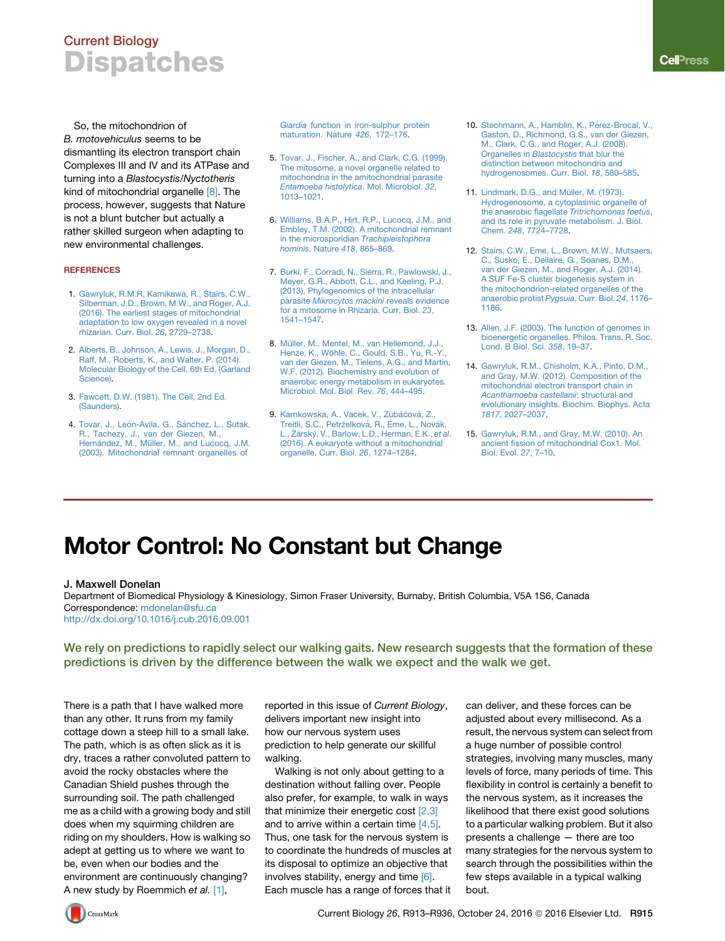## Current Biology **Dispatches**

So, the mitochondrion of *B. motovehiculus* seems to be dismantling its electron transport chain Complexes III and IV and its ATPase and turning into a *Blastocystis*/*Nyctotheris* kind of mitochondrial organelle [\[8\]](#page-0-0). The process, however, suggests that Nature is not a blunt butcher but actually a rather skilled surgeon when adapting to new environmental challenges.

### **REFERENCES**

- 1. [Gawryluk, R.M.R, Kamikawa, R., Stairs, C.W.,](http://refhub.elsevier.com/S0960-9822(16)30913-7/sref1) [Silberman, J.D., Brown, M.W., and Roger, A.J.](http://refhub.elsevier.com/S0960-9822(16)30913-7/sref1) [\(2016\). The earliest stages of mitochondrial](http://refhub.elsevier.com/S0960-9822(16)30913-7/sref1) [adaptation to low oxygen revealed in a novel](http://refhub.elsevier.com/S0960-9822(16)30913-7/sref1) [rhizarian. Curr. Biol.](http://refhub.elsevier.com/S0960-9822(16)30913-7/sref1) *26*, 2729–2738.
- 2. [Alberts, B., Johnson, A., Lewis, J., Morgan, D.,](http://refhub.elsevier.com/S0960-9822(16)30913-7/sref2) [Raff, M., Roberts, K., and Walter, P. \(2014\).](http://refhub.elsevier.com/S0960-9822(16)30913-7/sref2) [Molecular Biology of the Cell, 6th Ed. \(Garland](http://refhub.elsevier.com/S0960-9822(16)30913-7/sref2) [Science\).](http://refhub.elsevier.com/S0960-9822(16)30913-7/sref2)
- 3. [Fawcett, D.W. \(1981\). The Cell, 2nd Ed.](http://refhub.elsevier.com/S0960-9822(16)30913-7/sref3) [\(Saunders\)](http://refhub.elsevier.com/S0960-9822(16)30913-7/sref3).
- 4. Tovar, J., León-Avila, G., Sá[nchez, L., Sutak,](http://refhub.elsevier.com/S0960-9822(16)30913-7/sref4) [R., Tachezy, J., van der Giezen, M.,](http://refhub.elsevier.com/S0960-9822(16)30913-7/sref4)<br>Hernández, M., Mü[ller, M., and Lucocq, J.M.](http://refhub.elsevier.com/S0960-9822(16)30913-7/sref4) [\(2003\). Mitochondrial remnant organelles of](http://refhub.elsevier.com/S0960-9822(16)30913-7/sref4)

*Giardia* [function in iron-sulphur protein](http://refhub.elsevier.com/S0960-9822(16)30913-7/sref4) [maturation. Nature](http://refhub.elsevier.com/S0960-9822(16)30913-7/sref4) *426*, 172–176.

- 5. [Tovar, J., Fischer, A., and Clark, C.G. \(1999\).](http://refhub.elsevier.com/S0960-9822(16)30913-7/sref5) [The mitosome, a novel organelle related to](http://refhub.elsevier.com/S0960-9822(16)30913-7/sref5) [mitochondria in the amitochondrial parasite](http://refhub.elsevier.com/S0960-9822(16)30913-7/sref5) *[Entamoeba histolytica](http://refhub.elsevier.com/S0960-9822(16)30913-7/sref5)*. Mol. Microbiol. *32*, [1013–1021.](http://refhub.elsevier.com/S0960-9822(16)30913-7/sref5)
- 6. [Williams, B.A.P., Hirt, R.P., Lucocq, J.M., and](http://refhub.elsevier.com/S0960-9822(16)30913-7/sref6) [Embley, T.M. \(2002\). A mitochondrial remnant](http://refhub.elsevier.com/S0960-9822(16)30913-7/sref6) [in the microsporidian](http://refhub.elsevier.com/S0960-9822(16)30913-7/sref6) *Trachipleistophora hominis*. Nature *418*[, 865–869](http://refhub.elsevier.com/S0960-9822(16)30913-7/sref6).
- 7. [Burki, F., Corradi, N., Sierra, R., Pawlowski, J.,](http://refhub.elsevier.com/S0960-9822(16)30913-7/sref7) [Meyer, G.R., Abbott, C.L., and Keeling, P.J.](http://refhub.elsevier.com/S0960-9822(16)30913-7/sref7) [\(2013\). Phylogenomics of the intracellular](http://refhub.elsevier.com/S0960-9822(16)30913-7/sref7) parasite *[Mikrocytos mackini](http://refhub.elsevier.com/S0960-9822(16)30913-7/sref7)* reveals evidence [for a mitosome in Rhizaria. Curr. Biol.](http://refhub.elsevier.com/S0960-9822(16)30913-7/sref7) *23*, [1541–1547.](http://refhub.elsevier.com/S0960-9822(16)30913-7/sref7)
- <span id="page-0-0"></span>8. Mü[ller, M., Mentel, M., van Hellemond, J.J.,](http://refhub.elsevier.com/S0960-9822(16)30913-7/sref8) Henze, K., Wö[hle, C., Gould, S.B., Yu, R.-Y.,](http://refhub.elsevier.com/S0960-9822(16)30913-7/sref8) [van der Giezen, M., Tielens, A.G., and Martin,](http://refhub.elsevier.com/S0960-9822(16)30913-7/sref8) [W.F. \(2012\). Biochemistry and evolution of](http://refhub.elsevier.com/S0960-9822(16)30913-7/sref8) [anaerobic energy metabolism in eukaryotes.](http://refhub.elsevier.com/S0960-9822(16)30913-7/sref8) [Microbiol. Mol. Biol. Rev.](http://refhub.elsevier.com/S0960-9822(16)30913-7/sref8) *76*, 444–495.
- 9. Karnkowska, A., Vacek, V., Zubáčová[, Z.,](http://refhub.elsevier.com/S0960-9822(16)30913-7/sref9) [Treitli, S.C., Petr](http://refhub.elsevier.com/S0960-9822(16)30913-7/sref9)želková, R., Eme, L., Novák, [L.,](http://refhub.elsevier.com/S0960-9822(16)30913-7/sref9) Zárský, V., Barlow, L.D., Herman, E.K., *et al.* [\(2016\). A eukaryote without a mitochondrial](http://refhub.elsevier.com/S0960-9822(16)30913-7/sref9) [organelle. Curr. Biol.](http://refhub.elsevier.com/S0960-9822(16)30913-7/sref9) *26*, 1274–1284.
- 10. Stechmann, A., Hamblin, K., Pérez-Brocal, V., [Gaston, D., Richmond, G.S., van der Giezen,](http://refhub.elsevier.com/S0960-9822(16)30913-7/sref10) [M., Clark, C.G., and Roger, A.J. \(2008\).](http://refhub.elsevier.com/S0960-9822(16)30913-7/sref10) [Organelles in](http://refhub.elsevier.com/S0960-9822(16)30913-7/sref10) *Blastocystis* that blur the [distinction between mitochondria and](http://refhub.elsevier.com/S0960-9822(16)30913-7/sref10) [hydrogenosomes. Curr. Biol.](http://refhub.elsevier.com/S0960-9822(16)30913-7/sref10) *18*, 580–585.
- 11. Lindmark, D.G., and Müller, M. (1973). [Hydrogenosome, a cytoplasmic organelle of](http://refhub.elsevier.com/S0960-9822(16)30913-7/sref11) [the anaerobic flagellate](http://refhub.elsevier.com/S0960-9822(16)30913-7/sref11) *Tritrichomonas foetus*, [and its role in pyruvate metabolism. J. Biol.](http://refhub.elsevier.com/S0960-9822(16)30913-7/sref11) Chem. *248*[, 7724–7728.](http://refhub.elsevier.com/S0960-9822(16)30913-7/sref11)
- 12. [Stairs, C.W., Eme, L., Brown, M.W., Mutsaers,](http://refhub.elsevier.com/S0960-9822(16)30913-7/sref12) [C., Susko, E., Dellaire, G., Soanes, D.M.,](http://refhub.elsevier.com/S0960-9822(16)30913-7/sref12) [van der Giezen, M., and Roger, A.J. \(2014\).](http://refhub.elsevier.com/S0960-9822(16)30913-7/sref12) [A SUF Fe-S cluster biogenesis system in](http://refhub.elsevier.com/S0960-9822(16)30913-7/sref12) [the mitochondrion-related organelles of the](http://refhub.elsevier.com/S0960-9822(16)30913-7/sref12) [anaerobic protist](http://refhub.elsevier.com/S0960-9822(16)30913-7/sref12) *Pygsuia*. Curr. Biol. *24*, 1176– [1186.](http://refhub.elsevier.com/S0960-9822(16)30913-7/sref12)
- 13. [Allen, J.F. \(2003\). The function of genomes in](http://refhub.elsevier.com/S0960-9822(16)30913-7/sref13) [bioenergetic organelles. Philos. Trans. R. Soc.](http://refhub.elsevier.com/S0960-9822(16)30913-7/sref13) [Lond. B Biol. Sci.](http://refhub.elsevier.com/S0960-9822(16)30913-7/sref13) *358*, 19–37.
- 14. [Gawryluk, R.M., Chisholm, K.A., Pinto, D.M.,](http://refhub.elsevier.com/S0960-9822(16)30913-7/sref14) [and Gray, M.W. \(2012\). Composition of the](http://refhub.elsevier.com/S0960-9822(16)30913-7/sref14) [mitochondrial electron transport chain in](http://refhub.elsevier.com/S0960-9822(16)30913-7/sref14) *[Acanthamoeba castellanii](http://refhub.elsevier.com/S0960-9822(16)30913-7/sref14)*: structural and [evolutionary insights. Biochim. Biophys. Acta](http://refhub.elsevier.com/S0960-9822(16)30913-7/sref14) *1817*[, 2027–2037](http://refhub.elsevier.com/S0960-9822(16)30913-7/sref14).
- 15. [Gawryluk, R.M., and Gray, M.W. \(2010\). An](http://refhub.elsevier.com/S0960-9822(16)30913-7/sref15) [ancient fission of mitochondrial Cox1. Mol.](http://refhub.elsevier.com/S0960-9822(16)30913-7/sref15) [Biol. Evol.](http://refhub.elsevier.com/S0960-9822(16)30913-7/sref15) *27*, 7–10.

# Motor Control: No Constant but Change

### J. Maxwell Donelan

Department of Biomedical Physiology & Kinesiology, Simon Fraser University, Burnaby, British Columbia, V5A 1S6, Canada Correspondence: [mdonelan@sfu.ca](mailto:mdonelan@sfu.ca) <http://dx.doi.org/10.1016/j.cub.2016.09.001>

We rely on predictions to rapidly select our walking gaits. New research suggests that the formation of these predictions is driven by the difference between the walk we expect and the walk we get.

There is a path that I have walked more than any other. It runs from my family cottage down a steep hill to a small lake. The path, which is as often slick as it is dry, traces a rather convoluted pattern to avoid the rocky obstacles where the Canadian Shield pushes through the surrounding soil. The path challenged me as a child with a growing body and still does when my squirming children are riding on my shoulders. How is walking so adept at getting us to where we want to be, even when our bodies and the environment are continuously changing? A new study by Roemmich *et al.* [\[1\],](#page-2-0)

reported in this issue of *Current Biology*, delivers important new insight into how our nervous system uses prediction to help generate our skillful walking.

Walking is not only about getting to a destination without falling over. People also prefer, for example, to walk in ways that minimize their energetic cost [\[2,3\]](#page-2-1) and to arrive within a certain time [\[4,5\].](#page-2-2) Thus, one task for the nervous system is to coordinate the hundreds of muscles at its disposal to optimize an objective that involves stability, energy and time [\[6\].](#page-2-3) Each muscle has a range of forces that it

can deliver, and these forces can be adjusted about every millisecond. As a result, the nervous system can select from a huge number of possible control strategies, involving many muscles, many levels of force, many periods of time. This flexibility in control is certainly a benefit to the nervous system, as it increases the likelihood that there exist good solutions to a particular walking problem. But it also presents a challenge — there are too many strategies for the nervous system to search through the possibilities within the few steps available in a typical walking bout.

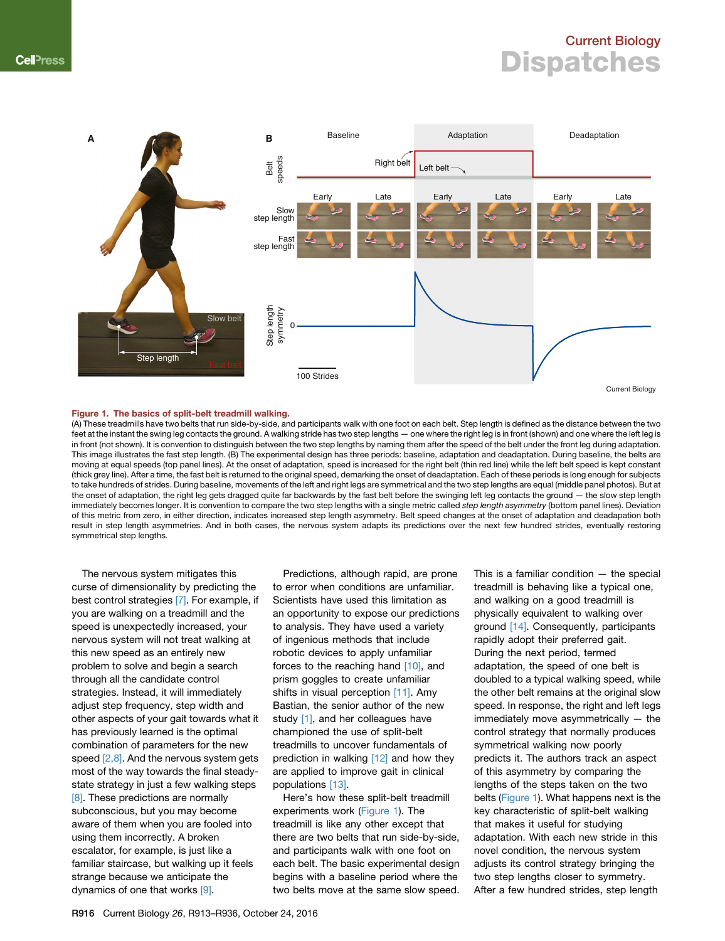### Current Biology **Dispatches**

<span id="page-1-0"></span>

#### Figure 1. The basics of split-belt treadmill walking.

(A) These treadmills have two belts that run side-by-side, and participants walk with one foot on each belt. Step length is defined as the distance between the two feet at the instant the swing leg contacts the ground. A walking stride has two step lengths — one where the right leg is in front (shown) and one where the left leg is in front (not shown). It is convention to distinguish between the two step lengths by naming them after the speed of the belt under the front leg during adaptation. This image illustrates the fast step length. (B) The experimental design has three periods: baseline, adaptation and deadaptation. During baseline, the belts are moving at equal speeds (top panel lines). At the onset of adaptation, speed is increased for the right belt (thin red line) while the left belt speed is kept constant (thick grey line). After a time, the fast belt is returned to the original speed, demarking the onset of deadaptation. Each of these periods is long enough for subjects to take hundreds of strides. During baseline, movements of the left and right legs are symmetrical and the two step lengths are equal (middle panel photos). But at the onset of adaptation, the right leg gets dragged quite far backwards by the fast belt before the swinging left leg contacts the ground — the slow step length immediately becomes longer. It is convention to compare the two step lengths with a single metric called *step length asymmetry* (bottom panel lines). Deviation of this metric from zero, in either direction, indicates increased step length asymmetry. Belt speed changes at the onset of adaptation and deadapation both result in step length asymmetries. And in both cases, the nervous system adapts its predictions over the next few hundred strides, eventually restoring symmetrical step lengths.

The nervous system mitigates this curse of dimensionality by predicting the best control strategies [\[7\].](#page-3-0) For example, if you are walking on a treadmill and the speed is unexpectedly increased, your nervous system will not treat walking at this new speed as an entirely new problem to solve and begin a search through all the candidate control strategies. Instead, it will immediately adjust step frequency, step width and other aspects of your gait towards what it has previously learned is the optimal combination of parameters for the new speed [\[2,8\].](#page-2-1) And the nervous system gets most of the way towards the final steadystate strategy in just a few walking steps [\[8\].](#page-3-1) These predictions are normally subconscious, but you may become aware of them when you are fooled into using them incorrectly. A broken escalator, for example, is just like a familiar staircase, but walking up it feels strange because we anticipate the dynamics of one that works [\[9\].](#page-3-2)

Predictions, although rapid, are prone to error when conditions are unfamiliar. Scientists have used this limitation as an opportunity to expose our predictions to analysis. They have used a variety of ingenious methods that include robotic devices to apply unfamiliar forces to the reaching hand [\[10\]](#page-3-3), and prism goggles to create unfamiliar shifts in visual perception [\[11\].](#page-3-4) Amy Bastian, the senior author of the new study [\[1\],](#page-2-0) and her colleagues have championed the use of split-belt treadmills to uncover fundamentals of prediction in walking [\[12\]](#page-3-5) and how they are applied to improve gait in clinical populations [\[13\]](#page-3-6).

Here's how these split-belt treadmill experiments work [\(Figure 1\)](#page-1-0). The treadmill is like any other except that there are two belts that run side-by-side, and participants walk with one foot on each belt. The basic experimental design begins with a baseline period where the two belts move at the same slow speed.

This is a familiar condition  $-$  the special treadmill is behaving like a typical one, and walking on a good treadmill is physically equivalent to walking over ground [\[14\]](#page-3-7). Consequently, participants rapidly adopt their preferred gait. During the next period, termed adaptation, the speed of one belt is doubled to a typical walking speed, while the other belt remains at the original slow speed. In response, the right and left legs immediately move asymmetrically — the control strategy that normally produces symmetrical walking now poorly predicts it. The authors track an aspect of this asymmetry by comparing the lengths of the steps taken on the two belts [\(Figure 1\)](#page-1-0). What happens next is the key characteristic of split-belt walking that makes it useful for studying adaptation. With each new stride in this novel condition, the nervous system adjusts its control strategy bringing the two step lengths closer to symmetry. After a few hundred strides, step length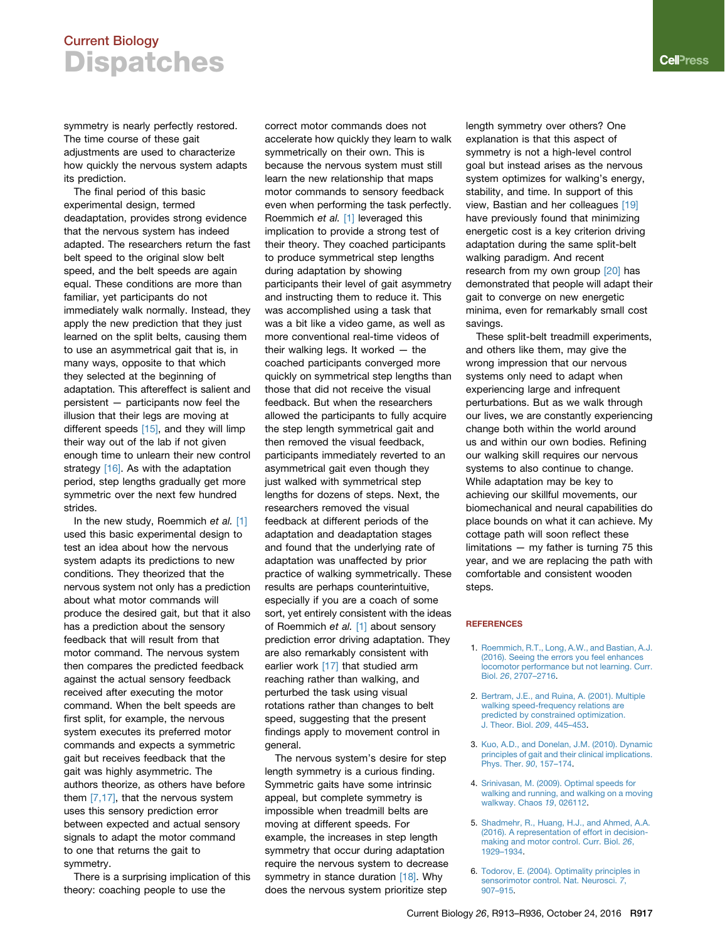### Current Biology **Dispatches**

symmetry is nearly perfectly restored. The time course of these gait adjustments are used to characterize how quickly the nervous system adapts its prediction.

The final period of this basic experimental design, termed deadaptation, provides strong evidence that the nervous system has indeed adapted. The researchers return the fast belt speed to the original slow belt speed, and the belt speeds are again equal. These conditions are more than familiar, yet participants do not immediately walk normally. Instead, they apply the new prediction that they just learned on the split belts, causing them to use an asymmetrical gait that is, in many ways, opposite to that which they selected at the beginning of adaptation. This aftereffect is salient and persistent — participants now feel the illusion that their legs are moving at different speeds [\[15\],](#page-3-8) and they will limp their way out of the lab if not given enough time to unlearn their new control strategy [\[16\]](#page-3-9). As with the adaptation period, step lengths gradually get more symmetric over the next few hundred strides.

In the new study, Roemmich *et al.* [\[1\]](#page-2-0) used this basic experimental design to test an idea about how the nervous system adapts its predictions to new conditions. They theorized that the nervous system not only has a prediction about what motor commands will produce the desired gait, but that it also has a prediction about the sensory feedback that will result from that motor command. The nervous system then compares the predicted feedback against the actual sensory feedback received after executing the motor command. When the belt speeds are first split, for example, the nervous system executes its preferred motor commands and expects a symmetric gait but receives feedback that the gait was highly asymmetric. The authors theorize, as others have before them [\[7,17\]](#page-3-0), that the nervous system uses this sensory prediction error between expected and actual sensory signals to adapt the motor command to one that returns the gait to symmetry.

There is a surprising implication of this theory: coaching people to use the

correct motor commands does not accelerate how quickly they learn to walk symmetrically on their own. This is because the nervous system must still learn the new relationship that maps motor commands to sensory feedback even when performing the task perfectly. Roemmich *et al.* [\[1\]](#page-2-0) leveraged this implication to provide a strong test of their theory. They coached participants to produce symmetrical step lengths during adaptation by showing participants their level of gait asymmetry and instructing them to reduce it. This was accomplished using a task that was a bit like a video game, as well as more conventional real-time videos of their walking legs. It worked — the coached participants converged more quickly on symmetrical step lengths than those that did not receive the visual feedback. But when the researchers allowed the participants to fully acquire the step length symmetrical gait and then removed the visual feedback, participants immediately reverted to an asymmetrical gait even though they just walked with symmetrical step lengths for dozens of steps. Next, the researchers removed the visual feedback at different periods of the adaptation and deadaptation stages and found that the underlying rate of adaptation was unaffected by prior practice of walking symmetrically. These results are perhaps counterintuitive, especially if you are a coach of some sort, yet entirely consistent with the ideas of Roemmich *et al.* [\[1\]](#page-2-0) about sensory prediction error driving adaptation. They are also remarkably consistent with earlier work [\[17\]](#page-3-10) that studied arm reaching rather than walking, and perturbed the task using visual rotations rather than changes to belt speed, suggesting that the present findings apply to movement control in general.

The nervous system's desire for step length symmetry is a curious finding. Symmetric gaits have some intrinsic appeal, but complete symmetry is impossible when treadmill belts are moving at different speeds. For example, the increases in step length symmetry that occur during adaptation require the nervous system to decrease symmetry in stance duration [\[18\]](#page-3-11). Why does the nervous system prioritize step

length symmetry over others? One explanation is that this aspect of symmetry is not a high-level control goal but instead arises as the nervous system optimizes for walking's energy, stability, and time. In support of this view, Bastian and her colleagues [\[19\]](#page-3-12) have previously found that minimizing energetic cost is a key criterion driving adaptation during the same split-belt walking paradigm. And recent research from my own group [\[20\]](#page-3-13) has demonstrated that people will adapt their gait to converge on new energetic minima, even for remarkably small cost savings.

These split-belt treadmill experiments, and others like them, may give the wrong impression that our nervous systems only need to adapt when experiencing large and infrequent perturbations. But as we walk through our lives, we are constantly experiencing change both within the world around us and within our own bodies. Refining our walking skill requires our nervous systems to also continue to change. While adaptation may be key to achieving our skillful movements, our biomechanical and neural capabilities do place bounds on what it can achieve. My cottage path will soon reflect these limitations — my father is turning 75 this year, and we are replacing the path with comfortable and consistent wooden steps.

#### <span id="page-2-0"></span>**REFERENCES**

- 1. [Roemmich, R.T., Long, A.W., and Bastian, A.J.](http://refhub.elsevier.com/S0960-9822(16)31050-8/sref1) [\(2016\). Seeing the errors you feel enhances](http://refhub.elsevier.com/S0960-9822(16)31050-8/sref1) [locomotor performance but not learning. Curr.](http://refhub.elsevier.com/S0960-9822(16)31050-8/sref1) Biol. *26*[, 2707–2716](http://refhub.elsevier.com/S0960-9822(16)31050-8/sref1).
- <span id="page-2-1"></span>2. [Bertram, J.E., and Ruina, A. \(2001\). Multiple](http://refhub.elsevier.com/S0960-9822(16)31050-8/sref2) [walking speed-frequency relations are](http://refhub.elsevier.com/S0960-9822(16)31050-8/sref2) [predicted by constrained optimization.](http://refhub.elsevier.com/S0960-9822(16)31050-8/sref2) [J. Theor. Biol.](http://refhub.elsevier.com/S0960-9822(16)31050-8/sref2) *209*, 445–453.
- 3. [Kuo, A.D., and Donelan, J.M. \(2010\). Dynamic](http://refhub.elsevier.com/S0960-9822(16)31050-8/sref3) [principles of gait and their clinical implications.](http://refhub.elsevier.com/S0960-9822(16)31050-8/sref3) [Phys. Ther.](http://refhub.elsevier.com/S0960-9822(16)31050-8/sref3) *90*, 157–174.
- <span id="page-2-2"></span>4. [Srinivasan, M. \(2009\). Optimal speeds for](http://refhub.elsevier.com/S0960-9822(16)31050-8/sref4) [walking and running, and walking on a moving](http://refhub.elsevier.com/S0960-9822(16)31050-8/sref4) [walkway. Chaos](http://refhub.elsevier.com/S0960-9822(16)31050-8/sref4) *19*, 026112.
- 5. [Shadmehr, R., Huang, H.J., and Ahmed, A.A.](http://refhub.elsevier.com/S0960-9822(16)31050-8/sref5) [\(2016\). A representation of effort in decision](http://refhub.elsevier.com/S0960-9822(16)31050-8/sref5)[making and motor control. Curr. Biol.](http://refhub.elsevier.com/S0960-9822(16)31050-8/sref5) *26*, [1929–1934.](http://refhub.elsevier.com/S0960-9822(16)31050-8/sref5)
- <span id="page-2-3"></span>6. [Todorov, E. \(2004\). Optimality principles in](http://refhub.elsevier.com/S0960-9822(16)31050-8/sref6) [sensorimotor control. Nat. Neurosci.](http://refhub.elsevier.com/S0960-9822(16)31050-8/sref6) *7*, [907–915](http://refhub.elsevier.com/S0960-9822(16)31050-8/sref6).